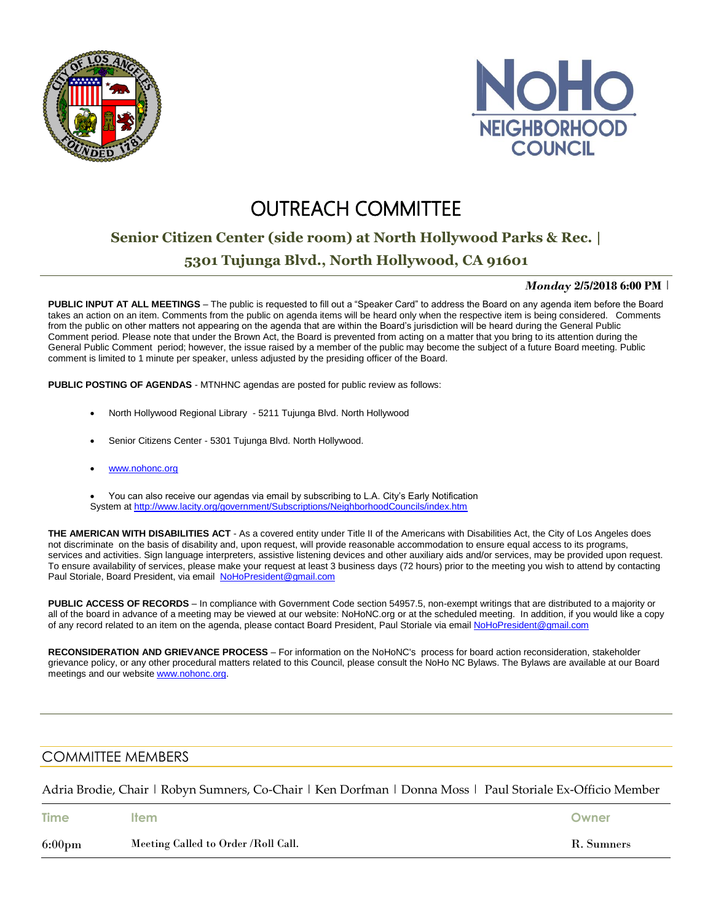



# **OUTREACH COMMITTEE**

## **Senior Citizen Center (side room) at North Hollywood Parks & Rec. |**

### **5301 Tujunga Blvd., North Hollywood, CA 91601**

#### *Monday* **2/5/2018 6:00 PM** |

**PUBLIC INPUT AT ALL MEETINGS** – The public is requested to fill out a "Speaker Card" to address the Board on any agenda item before the Board takes an action on an item. Comments from the public on agenda items will be heard only when the respective item is being considered. Comments from the public on other matters not appearing on the agenda that are within the Board's jurisdiction will be heard during the General Public Comment period. Please note that under the Brown Act, the Board is prevented from acting on a matter that you bring to its attention during the General Public Comment period; however, the issue raised by a member of the public may become the subject of a future Board meeting. Public comment is limited to 1 minute per speaker, unless adjusted by the presiding officer of the Board.

**PUBLIC POSTING OF AGENDAS** - MTNHNC agendas are posted for public review as follows:

- North Hollywood Regional Library 5211 Tujunga Blvd. North Hollywood
- Senior Citizens Center 5301 Tujunga Blvd. North Hollywood.
- [www.nohonc.org](http://www.nohonc.org/)

 You can also receive our agendas via email by subscribing to L.A. City's Early Notification System at <http://www.lacity.org/government/Subscriptions/NeighborhoodCouncils/index.htm>

**THE AMERICAN WITH DISABILITIES ACT** - As a covered entity under Title II of the Americans with Disabilities Act, the City of Los Angeles does not discriminate on the basis of disability and, upon request, will provide reasonable accommodation to ensure equal access to its programs, services and activities. Sign language interpreters, assistive listening devices and other auxiliary aids and/or services, may be provided upon request. To ensure availability of services, please make your request at least 3 business days (72 hours) prior to the meeting you wish to attend by contacting Paul Storiale, Board President, via email [NoHoPresident@gmail.com](mailto:NoHoPresident@gmail.com)

**PUBLIC ACCESS OF RECORDS** – In compliance with Government Code section 54957.5, non-exempt writings that are distributed to a majority or all of the board in advance of a meeting may be viewed at our website: NoHoNC.org or at the scheduled meeting. In addition, if you would like a copy of any record related to an item on the agenda, please contact Board President, Paul Storiale via email [NoHoPresident@gmail.com](mailto:NoHoPresident@gmail.com)

**RECONSIDERATION AND GRIEVANCE PROCESS** – For information on the NoHoNC's process for board action reconsideration, stakeholder grievance policy, or any other procedural matters related to this Council, please consult the NoHo NC Bylaws. The Bylaws are available at our Board meetings and our website [www.nohonc.org.](http://www.nohonc.org/)

#### COMMITTEE MEMBERS

Adria Brodie, Chair | Robyn Sumners, Co-Chair | Ken Dorfman | Donna Moss | Paul Storiale Ex-Officio Member

| <b>Time</b>      | ltem                                | Owner      |
|------------------|-------------------------------------|------------|
| $6:00 \text{pm}$ | Meeting Called to Order /Roll Call. | R. Sumners |